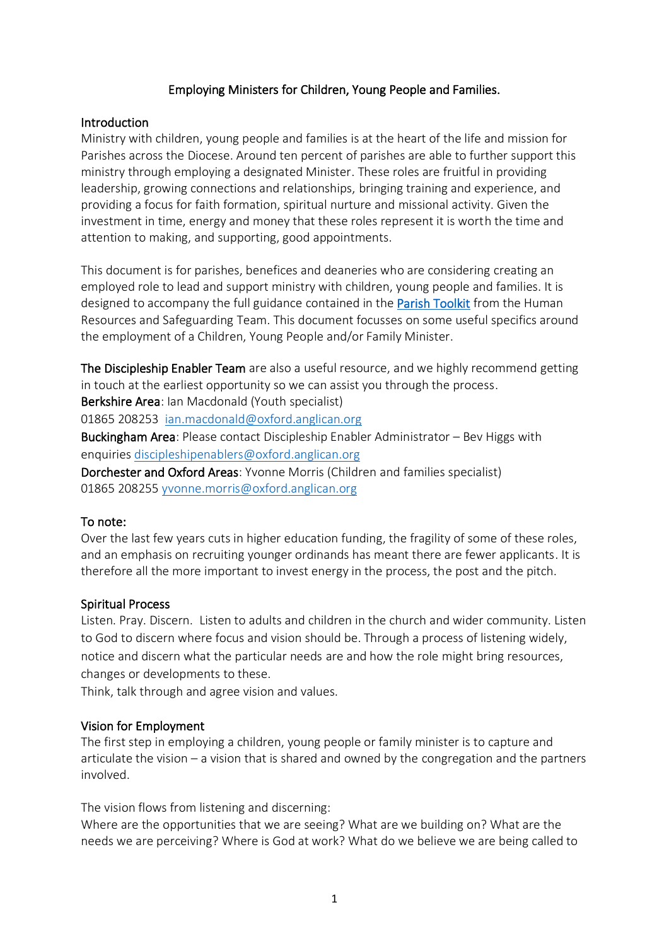## Employing Ministers for Children, Young People and Families.

#### Introduction

Ministry with children, young people and families is at the heart of the life and mission for Parishes across the Diocese. Around ten percent of parishes are able to further support this ministry through employing a designated Minister. These roles are fruitful in providing leadership, growing connections and relationships, bringing training and experience, and providing a focus for faith formation, spiritual nurture and missional activity. Given the investment in time, energy and money that these roles represent it is worth the time and attention to making, and supporting, good appointments.

This document is for parishes, benefices and deaneries who are considering creating an employed role to lead and support ministry with children, young people and families. It is designed to accompany the full guidance contained in the [Parish Toolkit](https://www.oxford.anglican.org/support-services/human-resources/parish-toolkit/) from the Human Resources and Safeguarding Team. This document focusses on some useful specifics around the employment of a Children, Young People and/or Family Minister.

The Discipleship Enabler Team are also a useful resource, and we highly recommend getting in touch at the earliest opportunity so we can assist you through the process.

Berkshire Area: Ian Macdonald (Youth specialist)

01865 208253 [ian.macdonald@oxford.anglican.org](mailto:ian.macdonald@oxford.anglican.org)

Buckingham Area: Please contact Discipleship Enabler Administrator – Bev Higgs with enquiries [discipleshipenablers@oxford.anglican.org](mailto:discipleshipenablers@oxford.anglican.org)

Dorchester and Oxford Areas: Yvonne Morris (Children and families specialist) 01865 208255 [yvonne.morris@oxford.anglican.org](mailto:yvonne.morris@oxford.anglican.org)

## To note:

Over the last few years cuts in higher education funding, the fragility of some of these roles, and an emphasis on recruiting younger ordinands has meant there are fewer applicants. It is therefore all the more important to invest energy in the process, the post and the pitch.

#### Spiritual Process

Listen. Pray. Discern. Listen to adults and children in the church and wider community. Listen to God to discern where focus and vision should be. Through a process of listening widely, notice and discern what the particular needs are and how the role might bring resources, changes or developments to these.

Think, talk through and agree vision and values.

## Vision for Employment

The first step in employing a children, young people or family minister is to capture and articulate the vision – a vision that is shared and owned by the congregation and the partners involved.

The vision flows from listening and discerning:

Where are the opportunities that we are seeing? What are we building on? What are the needs we are perceiving? Where is God at work? What do we believe we are being called to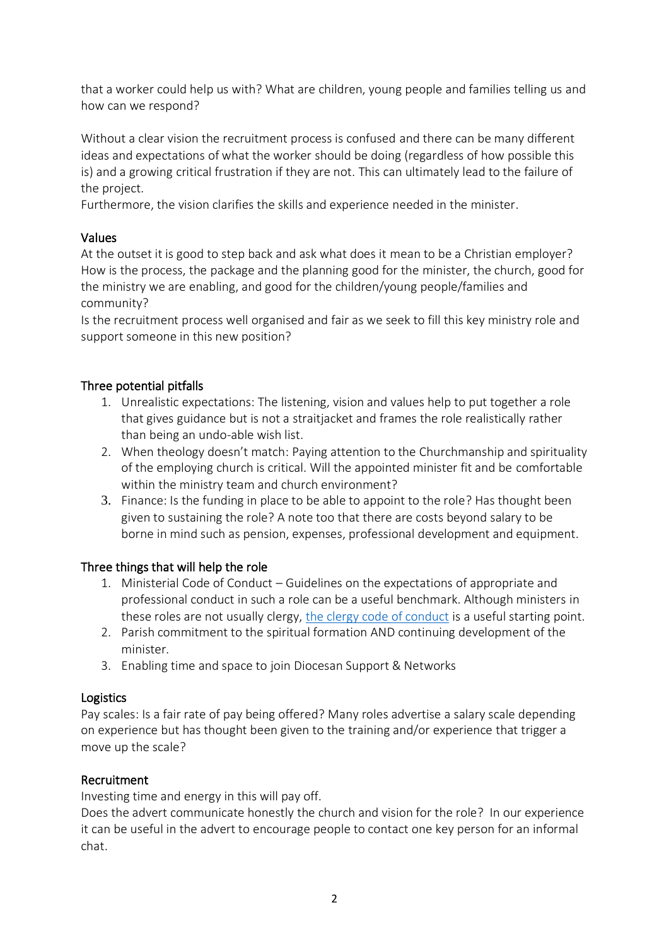that a worker could help us with? What are children, young people and families telling us and how can we respond?

Without a clear vision the recruitment process is confused and there can be many different ideas and expectations of what the worker should be doing (regardless of how possible this is) and a growing critical frustration if they are not. This can ultimately lead to the failure of the project.

Furthermore, the vision clarifies the skills and experience needed in the minister.

# Values

At the outset it is good to step back and ask what does it mean to be a Christian employer? How is the process, the package and the planning good for the minister, the church, good for the ministry we are enabling, and good for the children/young people/families and community?

Is the recruitment process well organised and fair as we seek to fill this key ministry role and support someone in this new position?

# Three potential pitfalls

- 1. Unrealistic expectations: The listening, vision and values help to put together a role that gives guidance but is not a straitjacket and frames the role realistically rather than being an undo-able wish list.
- 2. When theology doesn't match: Paying attention to the Churchmanship and spirituality of the employing church is critical. Will the appointed minister fit and be comfortable within the ministry team and church environment?
- 3. Finance: Is the funding in place to be able to appoint to the role? Has thought been given to sustaining the role? A note too that there are costs beyond salary to be borne in mind such as pension, expenses, professional development and equipment.

# Three things that will help the role

- 1. Ministerial Code of Conduct Guidelines on the expectations of appropriate and professional conduct in such a role can be a useful benchmark. Although ministers in these roles are not usually clergy[, the clergy code of conduct](https://www.churchofengland.org/about/policy-and-thinking/guidelines-professional-conduct-clergy/guidelines-professional-conduct) is a useful starting point.
- 2. Parish commitment to the spiritual formation AND continuing development of the minister.
- 3. Enabling time and space to join Diocesan Support & Networks

## Logistics

Pay scales: Is a fair rate of pay being offered? Many roles advertise a salary scale depending on experience but has thought been given to the training and/or experience that trigger a move up the scale?

## Recruitment

Investing time and energy in this will pay off.

Does the advert communicate honestly the church and vision for the role? In our experience it can be useful in the advert to encourage people to contact one key person for an informal chat.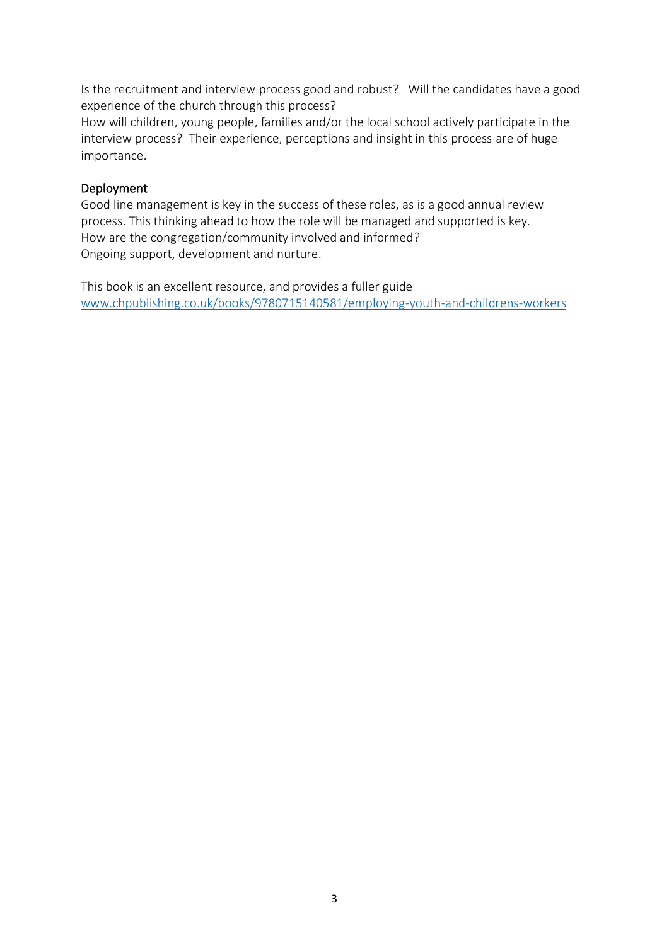Is the recruitment and interview process good and robust? Will the candidates have a good experience of the church through this process?

How will children, young people, families and/or the local school actively participate in the interview process? Their experience, perceptions and insight in this process are of huge importance.

# Deployment

Good line management is key in the success of these roles, as is a good annual review process. This thinking ahead to how the role will be managed and supported is key. How are the congregation/community involved and informed? Ongoing support, development and nurture.

This book is an excellent resource, and provides a fuller guide [www.chpublishing.co.uk/books/9780715140581/employing-youth-and-childrens-workers](http://www.chpublishing.co.uk/books/9780715140581/employing-youth-and-childrens-workers)